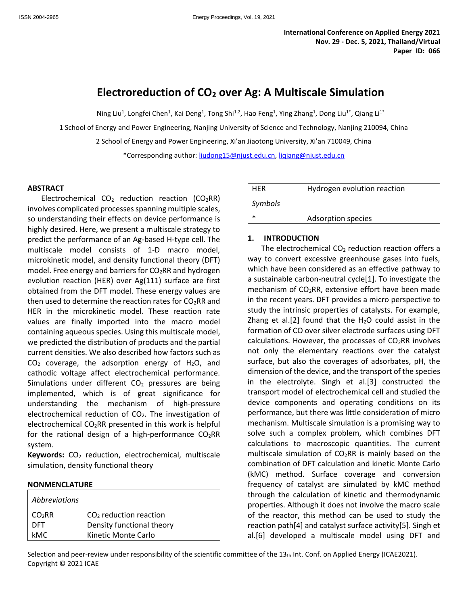# **Electroreduction of CO<sup>2</sup> over Ag: A Multiscale Simulation**

Ning Liu<sup>1</sup>, Longfei Chen<sup>1</sup>, Kai Deng<sup>1</sup>, Tong Shi<sup>1,2</sup>, Hao Feng<sup>1</sup>, Ying Zhang<sup>1</sup>, Dong Liu<sup>1\*</sup>, Qiang Li<sup>1\*</sup>

1 School of Energy and Power Engineering, Nanjing University of Science and Technology, Nanjing 210094, China

2 School of Energy and Power Engineering, Xi'an Jiaotong University, Xi'an 710049, China

\*Corresponding author[: liudong15@njust.edu.cn,](mailto:liudong15@njust.edu.cn) [liqiang@njust.edu.cn](mailto:liqiang@njust.edu.cn)

#### **ABSTRACT**

Electrochemical  $CO<sub>2</sub>$  reduction reaction (CO<sub>2</sub>RR) involves complicated processes spanning multiple scales, so understanding their effects on device performance is highly desired. Here, we present a multiscale strategy to predict the performance of an Ag-based H-type cell. The multiscale model consists of 1-D macro model, microkinetic model, and density functional theory (DFT) model. Free energy and barriers for  $CO<sub>2</sub>RR$  and hydrogen evolution reaction (HER) over Ag(111) surface are first obtained from the DFT model. These energy values are then used to determine the reaction rates for  $CO<sub>2</sub>RR$  and HER in the microkinetic model. These reaction rate values are finally imported into the macro model containing aqueous species. Using this multiscale model, we predicted the distribution of products and the partial current densities. We also described how factors such as  $CO<sub>2</sub>$  coverage, the adsorption energy of H<sub>2</sub>O, and cathodic voltage affect electrochemical performance. Simulations under different  $CO<sub>2</sub>$  pressures are being implemented, which is of great significance for understanding the mechanism of high-pressure electrochemical reduction of  $CO<sub>2</sub>$ . The investigation of electrochemical CO<sub>2</sub>RR presented in this work is helpful for the rational design of a high-performance  $CO<sub>2</sub>RR$ system.

**Keywords:** CO<sub>2</sub> reduction, electrochemical, multiscale simulation, density functional theory

#### **NONMENCLATURE**

| Abbreviations      |                           |
|--------------------|---------------------------|
| CO <sub>2</sub> RR | $CO2$ reduction reaction  |
| <b>DFT</b>         | Density functional theory |
| kMC.               | Kinetic Monte Carlo       |

| <b>HFR</b> | Hydrogen evolution reaction |
|------------|-----------------------------|
| Symbols    |                             |
|            | Adsorption species          |

#### **1. INTRODUCTION**

The electrochemical  $CO<sub>2</sub>$  reduction reaction offers a way to convert excessive greenhouse gases into fuels, which have been considered as an effective pathway to a sustainable carbon-neutral cycle[1]. To investigate the mechanism of  $CO<sub>2</sub>RR$ , extensive effort have been made in the recent years. DFT provides a micro perspective to study the intrinsic properties of catalysts. For example, Zhang et al.[2] found that the  $H_2O$  could assist in the formation of CO over silver electrode surfaces using DFT calculations. However, the processes of  $CO<sub>2</sub>RR$  involves not only the elementary reactions over the catalyst surface, but also the coverages of adsorbates, pH, the dimension of the device, and the transport of the species in the electrolyte. Singh et al.[3] constructed the transport model of electrochemical cell and studied the device components and operating conditions on its performance, but there was little consideration of micro mechanism. Multiscale simulation is a promising way to solve such a complex problem, which combines DFT calculations to macroscopic quantities. The current multiscale simulation of  $CO<sub>2</sub>RR$  is mainly based on the combination of DFT calculation and kinetic Monte Carlo (kMC) method. Surface coverage and conversion frequency of catalyst are simulated by kMC method through the calculation of kinetic and thermodynamic properties. Although it does not involve the macro scale of the reactor, this method can be used to study the reaction path[4] and catalyst surface activity[5]. Singh et al.[6] developed a multiscale model using DFT and

Selection and peer-review under responsibility of the scientific committee of the  $13<sub>th</sub>$  Int. Conf. on Applied Energy (ICAE2021). Copyright © 2021 ICAE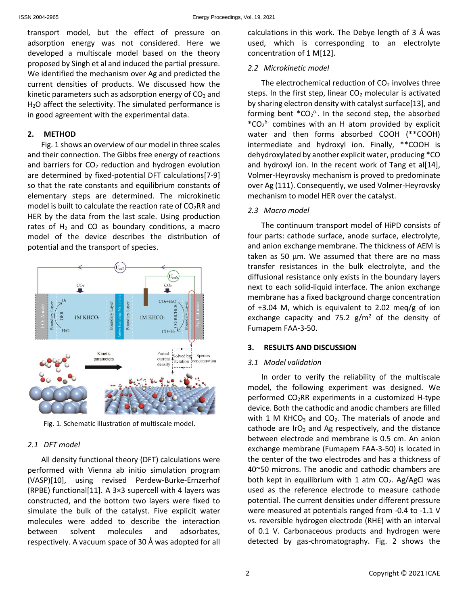transport model, but the effect of pressure on adsorption energy was not considered. Here we developed a multiscale model based on the theory proposed by Singh et al and induced the partial pressure. We identified the mechanism over Ag and predicted the current densities of products. We discussed how the kinetic parameters such as adsorption energy of  $CO<sub>2</sub>$  and H<sub>2</sub>O affect the selectivity. The simulated performance is in good agreement with the experimental data.

## **2. METHOD**

Fig. 1 shows an overview of our model in three scales and their connection. The Gibbs free energy of reactions and barriers for  $CO<sub>2</sub>$  reduction and hydrogen evolution are determined by fixed-potential DFT calculations[7-9] so that the rate constants and equilibrium constants of elementary steps are determined. The microkinetic model is built to calculate the reaction rate of  $CO<sub>2</sub>RR$  and HER by the data from the last scale. Using production rates of  $H_2$  and CO as boundary conditions, a macro model of the device describes the distribution of potential and the transport of species.



Fig. 1. Schematic illustration of multiscale model.

## *2.1 DFT model*

All density functional theory (DFT) calculations were performed with Vienna ab initio simulation program (VASP)[10], using revised Perdew-Burke-Ernzerhof (RPBE) functional[11]. A 3×3 supercell with 4 layers was constructed, and the bottom two layers were fixed to simulate the bulk of the catalyst. Five explicit water molecules were added to describe the interaction between solvent molecules and adsorbates, respectively. A vacuum space of 30 Å was adopted for all calculations in this work. The Debye length of 3 Å was used, which is corresponding to an electrolyte concentration of 1 M[12].

## *2.2 Microkinetic model*

The electrochemical reduction of  $CO<sub>2</sub>$  involves three steps. In the first step, linear  $CO<sub>2</sub>$  molecular is activated by sharing electron density with catalyst surface[13], and forming bent  $^*CO_2^{\delta}$ . In the second step, the absorbed  $*CO_2$ <sup>6-</sup> combines with an H atom provided by explicit water and then forms absorbed COOH (\*\*COOH) intermediate and hydroxyl ion. Finally, \*\*COOH is dehydroxylated by another explicit water, producing \*CO and hydroxyl ion. In the recent work of Tang et al[14], Volmer-Heyrovsky mechanism is proved to predominate over Ag (111). Consequently, we used Volmer-Heyrovsky mechanism to model HER over the catalyst.

# *2.3 Macro model*

The continuum transport model of HiPD consists of four parts: cathode surface, anode surface, electrolyte, and anion exchange membrane. The thickness of AEM is taken as 50 μm. We assumed that there are no mass transfer resistances in the bulk electrolyte, and the diffusional resistance only exists in the boundary layers next to each solid-liquid interface. The anion exchange membrane has a fixed background charge concentration of +3.04 M, which is equivalent to 2.02 meq/g of ion exchange capacity and 75.2  $g/m^2$  of the density of Fumapem FAA-3-50.

## **3. RESULTS AND DISCUSSION**

## *3.1 Model validation*

In order to verify the reliability of the multiscale model, the following experiment was designed. We performed  $CO<sub>2</sub>RR$  experiments in a customized H-type device. Both the cathodic and anodic chambers are filled with 1 M KHCO<sub>3</sub> and CO<sub>2</sub>. The materials of anode and cathode are IrO<sub>2</sub> and Ag respectively, and the distance between electrode and membrane is 0.5 cm. An anion exchange membrane (Fumapem FAA-3-50) is located in the center of the two electrodes and has a thickness of 40~50 microns. The anodic and cathodic chambers are both kept in equilibrium with 1 atm  $CO<sub>2</sub>$ . Ag/AgCl was used as the reference electrode to measure cathode potential. The current densities under different pressure were measured at potentials ranged from -0.4 to -1.1 V vs. reversible hydrogen electrode (RHE) with an interval of 0.1 V. Carbonaceous products and hydrogen were detected by gas-chromatography. Fig. 2 shows the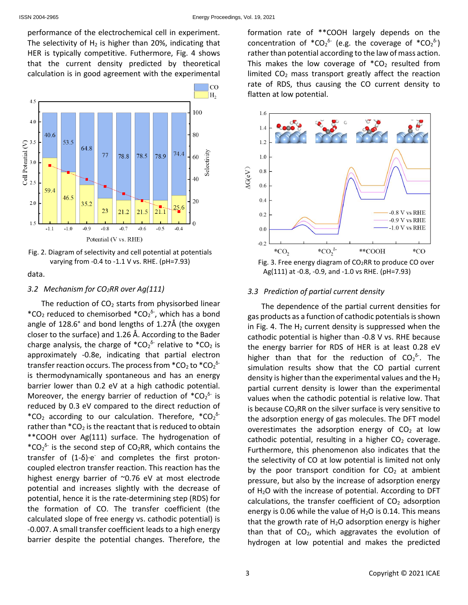performance of the electrochemical cell in experiment. The selectivity of  $H_2$  is higher than 20%, indicating that HER is typically competitive. Futhermore, Fig. 4 shows that the current density predicted by theoretical calculation is in good agreement with the experimental



Fig. 2. Diagram of selectivity and cell potential at potentials varying from -0.4 to -1.1 V vs. RHE. (pH=7.93)

data.

# *3.2 Mechanism for CO2RR over Ag(111)*

The reduction of  $CO<sub>2</sub>$  starts from physisorbed linear \*CO<sub>2</sub> reduced to chemisorbed \*CO<sub>2</sub><sup> $\delta$ -</sup>, which has a bond angle of 128.6° and bond lengths of 1.27Å (the oxygen closer to the surface) and 1.26 Å. According to the Bader charge analysis, the charge of  $^*CO_2^{\delta}$  relative to  $^*CO_2$  is approximately -0.8e, indicating that partial electron transfer reaction occurs. The process from  $^*$ CO $_2$  to  $^*$ CO $_2^{\delta^-}$ is thermodynamically spontaneous and has an energy barrier lower than 0.2 eV at a high cathodic potential. Moreover, the energy barrier of reduction of  $^*CO_2^{\delta}$  is reduced by 0.3 eV compared to the direct reduction of \*CO<sub>2</sub> according to our calculation. Therefore,  $*CO_2$ <sup>6-</sup> rather than  $*CO<sub>2</sub>$  is the reactant that is reduced to obtain \*\*COOH over Ag(111) surface. The hydrogenation of  $*CO_2$ <sup>6-</sup> is the second step of CO<sub>2</sub>RR, which contains the transfer of  $(1-δ)$ ·e and completes the first protoncoupled electron transfer reaction. This reaction has the highest energy barrier of ~0.76 eV at most electrode potential and increases slightly with the decrease of potential, hence it is the rate-determining step (RDS) for the formation of CO. The transfer coefficient (the calculated slope of free energy vs. cathodic potential) is -0.007. A small transfer coefficient leads to a high energy barrier despite the potential changes. Therefore, the

formation rate of \*\*COOH largely depends on the concentration of  $^*CO_2^{\delta^-}$  (e.g. the coverage of  $^*CO_2^{\delta^-}$ ) rather than potential according to the law of mass action. This makes the low coverage of  $*CO<sub>2</sub>$  resulted from limited  $CO<sub>2</sub>$  mass transport greatly affect the reaction rate of RDS, thus causing the CO current density to flatten at low potential.



Fig. 3. Free energy diagram of  $CO<sub>2</sub>RR$  to produce CO over Ag(111) at -0.8, -0.9, and -1.0 vs RHE. (pH=7.93)

## *3.3 Prediction of partial current density*

The dependence of the partial current densities for gas products as a function of cathodic potentials is shown in Fig. 4. The  $H_2$  current density is suppressed when the cathodic potential is higher than -0.8 V vs. RHE because the energy barrier for RDS of HER is at least 0.28 eV higher than that for the reduction of  $CO_2^{\delta}$ . The simulation results show that the CO partial current density is higher than the experimental values and the  $H_2$ partial current density is lower than the experimental values when the cathodic potential is relative low. That is because  $CO<sub>2</sub>RR$  on the silver surface is very sensitive to the adsorption energy of gas molecules. The DFT model overestimates the adsorption energy of  $CO<sub>2</sub>$  at low cathodic potential, resulting in a higher  $CO<sub>2</sub>$  coverage. Furthermore, this phenomenon also indicates that the the selectivity of CO at low potential is limited not only by the poor transport condition for  $CO<sub>2</sub>$  at ambient pressure, but also by the increase of adsorption energy of H<sub>2</sub>O with the increase of potential. According to DFT calculations, the transfer coefficient of  $CO<sub>2</sub>$  adsorption energy is 0.06 while the value of  $H<sub>2</sub>O$  is 0.14. This means that the growth rate of  $H<sub>2</sub>O$  adsorption energy is higher than that of  $CO<sub>2</sub>$ , which aggravates the evolution of hydrogen at low potential and makes the predicted